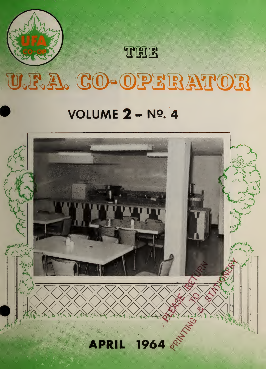

# U.F.A. CO-OPERATOR

THE

# VOLUME  $2 - N$ <sup>9</sup>. 4

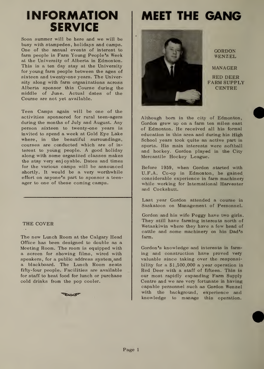## INFORMATION SERVICE

Soon summer will be here and we will be busy with stampedes, holidays and camps. One of the annual events of interest to farm people is Farm Young People's Week at the University of Alberta in Edmonton. This is a ten day stay at the University for young farm people between the ages of sixteen and twenty-one years. The University along with farm organizations across Alberta sponsor this Course during the middle of June. Actual dates of the Course are not yet available.

Teen Camps again will be one of the activities sponsored for rural teen-agers during the months of July and August. Any person sixteen to twenty-one years is invited to spend a week at Gold Eye Lake where, in the beautiful surroundings, courses are conducted which are of in terest to young people. A good holiday along with some organized classes makes the stay very enjoyable. Dates and times for the various camps will be announced shortly. It would be a very worthwhile effort on anyone's part to sponsor a teen ager to one of these coming camps.

#### THE COVER

The new Lunch Room at the Calgary Head Office has been designed to double as a Meeting Room. The room is equipped with a screen for showing films, wired with speakers, for a public address system and a blackboard. The Lunch Room seats fifty-four people. Facilities are available for staff to heat food for lunch or purchase cold drinks from the pop cooler.

**BUS** 

# MEET THE GANG



GORDON WENZEL

MANAGER RED DEER FARM SUPPLY **CENTRE** 

Although born in the city of Edmonton, Gordon grew up on a farm ten miles east of Edmonton. He received all his formal education in this area and during his High School years took quite an active part in sports. His main interests were softball and hockey. Gordon played in the City Mercantile Hockey League.

Before 1959, when Gordon started with U.F.A. Co-op in Edmonton, he gained considerable experience in farm machinery while working for International Harvester and Cockshutt.

Last year Gordon attended a course in Saskatoon on Management of Personnel.

Gordon and his wife Peggy have two girls. They still have farming interests north of Wetaskiwin where they have a few head of cattle and some machinery on his Dad's farm.

Gordon's knowledge and interests in farm ing and construction have proved very valuable since taking over the responsibility for a \$1,500,000 a year operation in Red Deer with a staff of fifteen. This is our most rapidly expanding Farm Supply Centre and we are very fortunate in having capable personnel such as Gordon Wenzel with the background, experience and knowledge to manage this operation.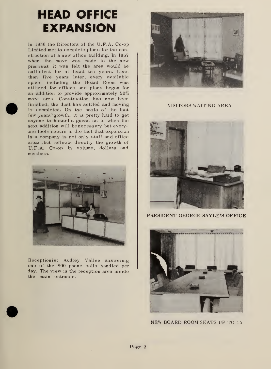# HEAD OFFICE EXPANSION

In 1956 the Directors of the U.F.A. Co-op Limited met to complete plans for the construction of a new office building. In 1957 when the move was made to the new premises it was felt the area would be sufficient for at least ten years. Less than five years later, every available space including the Board Room was utilized for offices and plans began for an addition to provide approximately 50% more area. Construction has now been finished, the dust has settled and moving is completed. On the basis of the last few years' growth, it is pretty hard to get anyone to hazard a guess as to when the next addition will be necessary but every one feels secure in the fact that expansion in a company is not only staff and office areas , but reflects directly the growth of U.F.A. Co-op in volume, dollars and members.



Receptionist Audrey Vallee answering one of the 800 phone calls handled per day. The view is the reception area inside the main entrance.



VISITORS WAITING AREA



PRESIDENT GEORGE SAYLE'S OFFICE



NEW BOARD ROOM SEATS UP TO <sup>15</sup>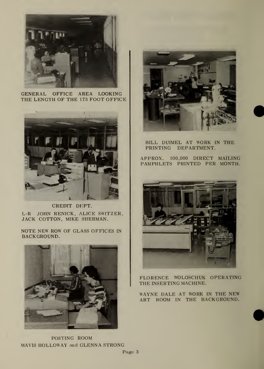

**GENERAL** OFFICE AREA LOOKING THE LENGTH OF THE 173 FOOT OFFICE



CREDIT DEPT. L-R JOHN RENICK, ALICE SWITZER, JACK COTTON, MIKE SHERMAN.

NOTE NEW ROW OF GLASS OFFICES IN BACKGROUND.



POSTING ROOM MAVIS HOLLOWAY and GLENNA STRONG



BILL DUIMEL AT WORK IN THE PRINTING DEPARTMENT.

APPROX. 100,000 DIRECT MAILING PAMPHLETS PRINTED PER MONTH.



FLORENCE WOLOSCHUK OPERATING THE INSERTING MACHINE.

WAYNE DALE AT WORK IN THE NEW ART ROOM IN THE BACKGROUND.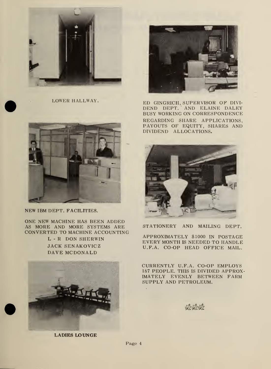

LOWER HALLWAY.



NEW IBM DEPT. FACILITIES.

ONE NEW MACHINE HAS BEEN ADDED AS MORE AND MORE SYSTEMS ARE CONVERTED TO MACHINE ACCOUNTING

> L - R DON SHERWIN JACK SENAKOVICZ DAVE MCDONALD



LADIES LOUNGE



ED GINGRICH, SUPERVISOR OF DIVI-<br>DEND DEPT. AND ELAINE DALEY BUSY WORKING ON CORRESPONDENCE REGARDING SHARE APPLICATIONS, PAYOUTS OF EQUITY, SHARES AND DIVIDEND ALLOCATIONS.



STATIONERY AND MAILING DEPT.

APPROXIMATELY \$1000 IN POSTAGE EVERY MONTH IS NEEDED TO HANDLE U.F.A. CO-OP HEAD OFFICE MAIL.

CURRENTLY U.F.A. CO-OP EMPLOYS 187 PEOPLE. THIS IS DIVIDED APPROX-IMATELY EVENLY BETWEEN FARM SUPPLY AND PETROLEUM.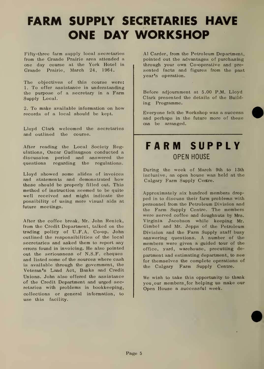# FARM SUPPLY SECRETARIES HAVE ONE DAY WORKSHOP

Fifty-three farm supply local secretaries from the Grande Prairie area attended a one day course at the York Hotel in Grande Prairie, March 24, 1964.

The objectives of this course were: 1. To offer assistance in understanding the purpose of a secretary in a Farm Supply Local.

2. To make available information on how records of a local should be kept.

Lloyd Clark welcomed the secretaries and outlined the course.

After reading the Local Society Regulations, Oscar Gudlaugson conducted a discussion period and answered the questions regarding the regulations.

Lloyd showed some slides of invoices and statements and demonstrated how these should be properly filled out. This method of instruction seemed to be quite well received and might indicate the possibility of using more visual aids at future meetings.

After the coffee break, Mr.. John Renick, from the Credit Department, talked on the trading policy of U.F.A. Co-op. John outlined the responsibilities of the local secretaries and asked them to report any errors found in invoicing. He also pointed out the seriousness of N.S.F. cheques and listed some of the sources where cash is available through the government, the Veteran's Land Act, Banks and Credit Unions. John also offered the assistance of the Credit Department and urged secretaries with problems in bookkeeping, collections or general information, to use this facility.

Al Carder, from the Petroleum Department, pointed out the advantages of purchasing through your own Co-operative and pre sented facts and figures from the past year's operation.

Before adjournment at 5.00 P.M. Lloyd Clark presented the details of the Building Programme.

Everyone felt the Workshop was a success and perhaps in the future more of these can be arranged.

## FARM SUPPLY OPEN HOUSE

During the week of March 9th to 13th inclusive, an open house was held at the Calgary Farm Supply Centre.

A.pproximately six hundred members dropped in to discuss their farm problems with personnel from the Petroleum Division and the Farm Supply Centre. The members were served coffee and doughnuts by Mrs. Virginia Jacobson while keeping Mr. Gimbel and Mr. Jepps of the Petroleum Division and the Farm Supply staff busy answering questions. A number of the members were given a guided tour of the office, yard, warehouse, precutting de partment and estimating department, to see for themselves the complete operations of the Calgary Farm Supply Centre.

We wish to take this opportunity to thank you, our members, for helping us make our Open House a successful week.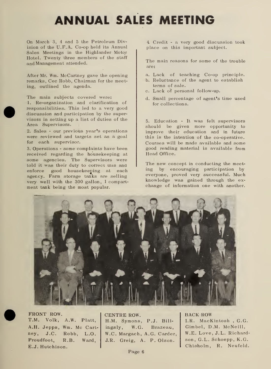# ANNUAL SALES MEETING

On March 3, <sup>4</sup> and <sup>5</sup> the Petroleum Division of the U.F.A. Co-op held its Annual Sales Meetings in the Highlander Motor Hotel. Twenty three members of the staff and Management attended.

After Mr. Wm. McCartney gave the opening remarks, Cec Robb, Chairman for the meeting, outlined the agenda.

The main subjects covered were: 1. Re-organization and clarification of responsibilities. This led to a very good discussion and participation by the super visors in setting up a list of duties of the Area Supervisors.

2. Sales - our previous year's operations were reviewed and targets set as a goal for each supervisor.

3. Operations - some complaints have been received regarding the housekeeping at some agencies. The Supervisors were told it was their duty to correct mis and enforce good housekeeping at each agency. Farm storage tanks are selling very- well with the 300 gallon, <sup>1</sup> compart ment tank being the most popular.

4 Credit - a very good discussion took place on this important subject.

The main reasons for some of the trouble are:

- a. Lack of teaching Co-op principle.
- b. Reluctance of the agent to establish terms of sale.
- c. Lack of personal follow-up.
- d. Small percentage of agent's time used for collections.

5. Education - It was felt supervisors should be given more opportunity to improve their education and in future this is the intention of the co-operative. Courses will be made available and some good reading material is available from Head Office.

The new concept in conducting the meeting by encouraging participation by everyone, proved very successful. Much knowledge was gained through the ex change of information one with another.



FRONT ROW. T.M. Volk, A.W. Piatt, A.H. Jepps, Wm. Mc Cart- ingsly, ney, J.C. Robb, L.O. Proudfoot, R.B. Ward, E.J. Hutchison.

CENTRE ROW. H.M. Symons, P.J. Bill-W.G. Brazeau, W.C. Margach, A.G. Carder, J.R. Greig, A. P. Olson.

BACK ROW I.R. MacKintosh , G.G. Gimbel, D.M. McNeill, W.E. Love, J.L. Richardson, G.L. Schoepp, K.G. Chisholm, R. Neufeld.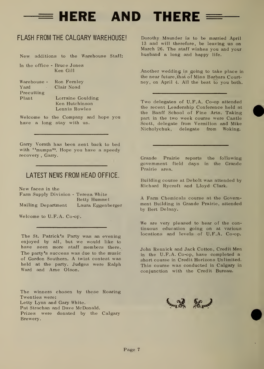$\equiv$  HERE AND THERE  $\equiv$ 

#### FLASH FROM THE CALGARY WAREHOUSE!

New additions to the Warehouse Staff:

- In the office Bruce Jones Ken Gill
- Warehouse Ron Fernley Yard Clair Noad Precutting Plant Lorraine Goulding Ken Hutchinson Lennis Rowles

Welcome to the Company and hope you have a long stay with us.

Garry Vorath has been sent back to bed with "mumps". Hope you have a speedy recovery , Garry.

#### LATEST NEWS FROM HEAD OFFICE.

New faces in the Farm Supply Division - Teresa White

Betty Hummel Mailing Department Laura Eggenberger

Welcome to U.F.A. Co-op.

The St. Patrick's Party was an evening enjoyed by all, but we would like to have seen more staff members there. The party's success was due to the music of Gordon Southern. A twist contest was held at the party. Judges were Ralph Ward and Arne Olson.

The winners chosen by these Roaring Twenties were: Letty Lynn and Gary White. Pat Strachan and Dave McDonald. Prizes were donated by the Calgary Brewery.

Dorothy Maunder is to be married April 13 and will therefore, be leaving us on March 26. The staff wishes you and your husband a long and happy life.

Another wedding is going to take place in the near future, that of Miss Barbara Courtney, on April 4. All the best to you both.

Two delegates of U.F.A. Co-op attended the recent Leadership Conference held at the Banff School of Fine Arts. Taking part in the two week course were Castle Scott, delegate from Vermilion and Mike Nicholychuk, delegate from Woking.

Grande Prairie reports the following government field days in the Grande Prairie area.

Building course at Debolt was attended by Richard Rycroft and Lloyd Clark.

A Farm Chemicals course at the Govern ment Building in Grande Prairie, attended by Bert Delany.

We are very pleased to hear of the continuous education going on at various locations and levels of U.F.A. Co-op.

John Rennick and Jack Cotton, Credit Men in the U.F.A. Co-op,, have completed a short course in Credit Horizons Unlimited. This course was conducted in Calgary in conjunction with the Credit Bureau.

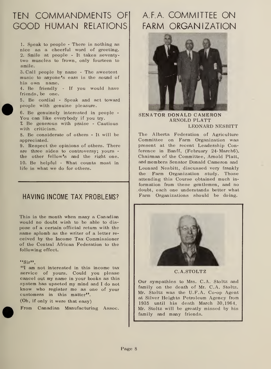## TEN COMMANDMENTS OF GOOD HUMAN RELATIONS

1. Speak to people - There is nothing as nice as a cheerful word of greeting. 2. Smile at people - It takes seventy two muscles to frown, only fourteen to smile.

3. Call people by name - The sweetest music to anyone's ears is the sound of his own name.

4. Be friendly - If you would have friends, be one.

5. Be cordial - Speak and act toward people with genuine pleasure.

6. Be genuinely interested in people - You can like everybody if you try.

7. Be generous with praise - Cautious with criticism.

8. Be considerate of others - It will be appreciated.

9. Respect the opinions of others. There are three sides to controversy; yours the other fellow's and the right one. 10. Be helpful - What counts most in life is what we do for others.

### HAVING INCOME TAX PROBLEMS?

This is the month when many a Canadian would no doubt wish to be able to dis pose of a certain official return with the same aplomb as the writer of a letter re ceived by the Income Tax Commissioner of the Central African Federation to the following effect.

#### $($ ssir $)$

"I am not interested in this income tax service of yours. Could you please cancel out my name in your books as this system has upseted my mind and <sup>I</sup> do not know who register me as one of your customers in this matter".

(Oh, if only it were that easy)

From Canadian Manufacturing Assoc.

## A.F.A. COMMITTEE ON FARM ORGANIZATION



SENATOR DONALD CAMERON ARNOLD PLATT LEONARD NESBITT

The Alberta Federation of Agriculture Committee on Farm Organization was present at the recent Leadership Conference in Banff, (February 24-March6). Chairman of the Committee, Arnold Piatt, and members Senator Donald Cameron and Leonard Nesbitt, discussed very frankly the Farm Organization study. Those attending this Course obtained much in formation from these gentlemen, and no doubt, each one understands better what Farm Organizations should be doing.



#### C.A.STOLTZ

Our sympathies to Mrs. C.A. Stoltz and family on the death of Mr. C.A. Stoltz. Mr. Stoltz was the U.F.A. Co-op Agent at Silver Heights Petroleum Agency from 1935 until his death March 30,1964. Mr. Stoltz will be greatly missed by his family and many friends.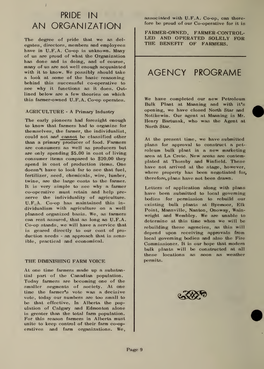## PRIDE IN AN ORGANIZATION

The degree of pride that we as del egates, directors, members and employees have in U.F.A. Co-op is unknown. Many of us are proud of what the Organization has done and is doing, and of course, many of us are not well enough acquainted with it to know. We possibly should take a look at some of the basic reasoning behind this successful co-operative to see why it functions as it does. Outlined below are a few theories on which this farmer-owned U.F.A. Co-op operates.

#### AGRICULTURE - A Primary Industry

The early pioneers had foresight enough to know that farmers had to organize for themselves, the farmer, the individualist, could not and cannot be classified other than a primary producer of food. Farmers are consumers as well as producers but are only spending \$5.00 in cost of living consumer items compared to \$20.00 they spend in cost of production items. One doesn't have to look far to see that fuel, fertilizer, seed, chemicals, wire, lumber, twine, are the large costs to the farmer. It is very simple to see why a farmer co-operative must retain and help pre serve the individuality of agriculture. U.F.A. Co-op has maintained this in dividualism with agriculture on a well planned organized basis. We, as farmers can rest assured, that as long as U.F.A. Co-op stands, we will have a service that is geared directly to our cost of pro duction needs - an approach that is sensible, practical and economical.

#### THE DIMINISHING FARM VOICE

At one time farmers made up a substantial part of the Canadian population. Today farmers are becoming one of the smaller segments of society. At one time the farmer's vote was a decisive vote, today our numbers are too small to be that effective. In Alberta the population of Calgary and Edmonton alone is greater than the total farm population. For this reason farmers in Alberta must unite to keep control of their farm co-operatives and farm organizations. We, associated with U.F.A. Co-op, can therefore be proud of our Co-operative for it is

FARMER-OWNED, FARMER-CONTROL-LED AND OPERATED SOLELY FOR THE BENEFIT OF FARMERS.

## AGENCY PROGRAME

We have completed our new Petroleum Bulk Plant at Manning and with it's opening, we have closed North Star and Notikewin. Our agent at Manning is Mr. Henry Bartusak, who was the Agent at North Star.

At the present time, we have submitted plans for approval to construct a pet roleum bulk plant in a new marketing area at La Crete. New areas are contemplated at Thorsby and Winfield. These have not arrived at the stage, however, where property has been negotiated for, therefore, plans have not been drawn.

Letters of application along with plans have been submitted to local governing bodies for permission to rebuild our existing bulk plants at Byemoor, Elk Point, Mannvillc, Nanton, Onoway, Wainwright and Wembley. We are unable to determine at this time when we will be rebuilding these agencies, as this will depend upon receiving approvals from local governing bodies and also the Fire Commissioner. It is our hope that modern bulk plants will be constructed at all these locations as soon as weather permits.



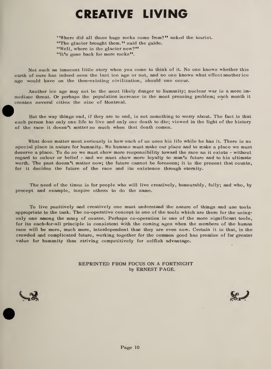# CREATIVE LIVING

"Where did all those huge rocks come from?" asked the tourist. "The glacier brought them." said the guide. "Well, where is the glacier now?" "It's gone back for more rocks".

Not such an innocent little story when you come to think of it. No one knows whether this earth of ours has indeed seen the last ice age or not, and no one knows what effect another ice age would have on the then-existing civilization, should one occur.

Another ice age may not be the most likely danger to humanity; nuclear war is a more im mediate threat. Or perhaps the population increase is the most pressing problem; each month itcreates several cities the size of Montreal.

But the way things end, if they are to end, is not something to worry about. The fact is that each person has only one life to live and only one death to die; viewed in the light of the history of the race it doesn't matter so much when that death comes.

What does matter most seriously is how each of us uses his life while he has it. There is no special place in nature for humanity. We humans must make our place and to make a place we must deserve a place. To do so we must show more responsibility toward the race as it exists - without regard to colour or belief - and we must show more loyalty to man's future and to his ultimate worth. The past doesn't matter now; the future cannot be foreseen; it is the present that counts, for it decides the future of the race and its existence through eternity.

The need of the times is for people who will live creatively, honourably, fully; and who, by precept and example, inspire others to do the same.

To live positively and creatively one must understand the nature of things and use tools appropriate to the task. The co-operative concept is one of the tools which are there for the usingonly one among the many of course. Perhaps co-operation is one of the more significant tools, for its each-for-all principle is consistent with the coming ages when the members of the human race will be more, much more, interdependent than they are even now. Certain it is that, in the crowded and complicated future, working together for the common good has promise of far greater value for humanity than striving competitively for selfish advantage.

> REPRINTED FROM FOCUS ON A FORTNIGHT by ERNEST PAGE.